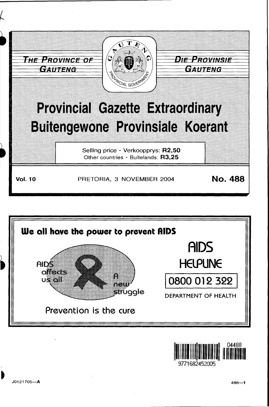

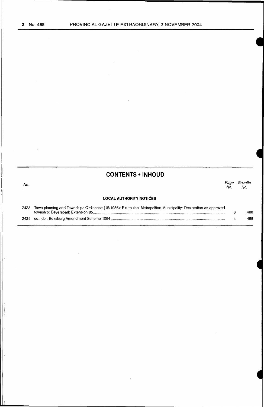# **CONTENTS • INHOUD**

| No.  |                                                                                                                | Page<br>No. | Gazette<br>No. |
|------|----------------------------------------------------------------------------------------------------------------|-------------|----------------|
|      | <b>LOCAL AUTHORITY NOTICES</b>                                                                                 |             |                |
| 2423 | Town-planning and Townships Ordinance (15/1986): Ekurhuleni Metropolitan Municipality: Declaration as approved |             |                |

|  | 488 |
|--|-----|
|  | 488 |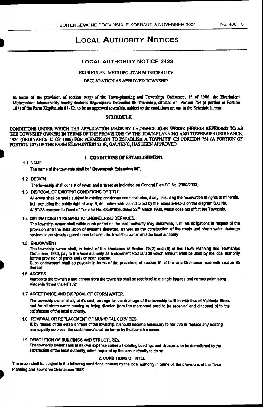# **LOCAL AUTHORITY NOTICES**

# **LOCAL AUTHORITY NOTICE 2423**

# EKURHULENI METROPOLITAN MUNICIPALITY

# DECLARATION AS APPROVED TOWNSHIP

In terms of the provision of section 103(1) of the Town-planning and Townships Ordinance, 15 of 1986, the Ekurbuleni Metropolitan Municipality hereby declares Beyerspark Extension 85 Township, situated on Portion 754 (a portion of Portion 187) of the Farm Klipfontein 83-IR, to be an approved township, subject to the conditions set out in the Schedule hereto;

# **SCHEDULE**

CONDITIONS UNDER WHICH THE APPLICATION MADE BY LAURENCE JOHN WEBER (HEREIN REFERRED TO AS THE TOWNSHIP OWNER) IN TERMS OF THE PROVISIONS OF THE TOWN-PLANNING AND TOWNSHIPS ORDINANCE, 1986 (ORDINANCE 15 OF 1986) FOR PERMISSION TO ESTABLISH A TOWNSHIP ON PORTION 754 (A PORTION OF PORTION 187) OF THE FARM KLIPFONTEIN 83 IR, GAUTENG, HAS BEEN APPROVED

## 1.1 NAME

# 1. CONDITIONS OF ESTABLISHMENT

The name of the township shall be "Beyerspark Extension 85".

# 1.2 DESIGN

The township shall consist of erven and a street as indicated on General Plan SG No. 2059/2003.

1.3 DISPOSAL OF EXISTING CONDITIONS OF TITLE

All erven shall be made subject to existing conditions and servitudes, if any, including the reservation of rights to minerals, but excluding the public right of way, 9, 45 metres wide as indicated by the letters a-b-C-D on the diagram S.G No. A137/38 annexed to Deed of Transfer No. 4859/1938 dated 22<sup>nd</sup> March 1938, which does not effect the Township.

#### 1.4 OBLIGATIONS IN REGARD TO ENGINEERING SERVICES.

The township owner shall within such period as the local authority may determine, fulfill his obligations in respect of the provision and the installation of systems therefore, as well as the construction of the roads and storm water drainage system as previously agreed upon between the township owner and the local authority.

1.5 ENDOWMENT

The township owner shall, in terms of the provisions of Section 98(2) and (3) of the Town Planning and Townships Ordinance, 1986, pay to the local authority as endowment R52 500.00 which amount shall be used by the local authority for the provision of parks and / or open spaces.

Such endowment shall be payable in terms of the provisions of section 81 of the said Ordinance read with section 95 thereof

1.6 ACCESS

Ingress to the township and egress from the township shall be restricted to a single ingress and egress point along Veldenia Street via erf 1521.

### 1.7 ACCEPTANCE AND DISPOSAL OF STORM WATER.

The township owner shall, at it's cost, arrange for the drainage of the township to fit in with that of Veldenia Street and for all storm water running or being diverted from the mentioned road to be received and disposed of to the satisfaction of the local authority.

- 1.8 REMOVAL OR REPLACEMENT OF MUNICIPAL SERVICES. If, by reason of the establishment of the township, it should become necessary to remove or replace any existing municipality services, the cost thereof shall be borne by the township owner.
- 1.9 DEMOLITION OF BUILDINGS AND STRUCTURES.

The township owner shall at its own expense cause all existing buildings and structures to be demolished to the satisfaction of the local authority, when required by the local authority to do so.

# 2. CONDITIONS OF TITLE

The erven shall be subject to the following conditions inposed by the local authority in terms of the provisions of the Town-Planning and Township Ordinances 1986.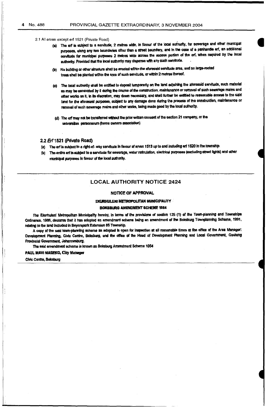- 2.1 All erven except erf 1521 (Private Road)
	- (a) The en is subject to a servitude, 2 metres wide, in favour of the local authority, for sewerage and other municipal purposes, along any two boundanes other than a street boundary, and in the case of a panhandle erf, an additional servitude for municipal purposes 2 metres wide across the access portion of the erf, when required by the local authority. Provided that the local authority may dispense with any such servitude.
	- (b) No building or other structure shall be erected within the aforesaid servitude area, and no large-rooted trees shall be planted within the area of such servitude, or within 2 metres thereof.
	- (c) The local authority shall be entitled to deposit temporarily on the land adjoining the aforesaid servitude, such material as may be excavated by it during the course of the construction, maintenance or removal of such sewerage mains and other works as it, in its discretion, may deem necessary, and shall further be entitled to reasonable access to the said land for the aforesaid purposes, subject to any damage done during the process of the construction, maintenance or removal of such sewarage mains and other works, being made good by the local authority.
	- (d) The erf may not be transferred without the prior written consent of the section 21 company, or the universitas personarum (home owners association)

## 2.2 Erf 1521 (Private Road)

- (a) The en is subject to a right-of-way servitude in favour of erven 1513 up to and including erf 1520 in the township.
- (b) The entire ent is subject to a servitude for sewerage, water reticulation, electrical purposes (excluding street lights) and other municipal purposes in favour of the local authority.

# **LOCAL AUTHORITY NOTICE 2424**

## NOTICE OF APPROVAL

#### **EKURHULENI METROPOLITAN MUNICIPALITY**

#### **BOKSBURG AMENDMENT SCHEME 1064**

The Elarhuleni Metropolitan Municipality hereby, in terms of the provisions of section 125 (1) of the Town-planning and Townships Ordinance, 1986, declares that it has adopted an amendment scheme being an amendment of the Boksburg Townplanning Schame, 1991, relating to the land included in Beyerspark Extension 85 Township.

A copy of the said town-planning scheme as adopted is open for inspection at all reasonable times at the office of the Area Manager. Development Planning, Civic Centre, Boksburg, and the office of the Head of Development Planning and Local Government, Gauteng Provincial Government, Johannesburg.

The said amendment scheme is known as Boksburg Amendment Scheme 1054

#### **PAUL MAVI MASEKO, City Manager**

Civic Centre, Boksburg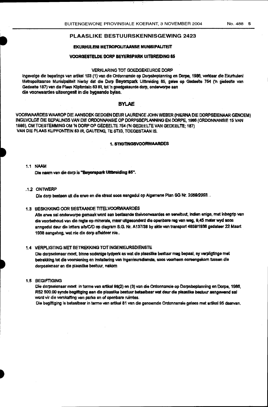# **EKURHULENI METROPOLITAANSE MUNISIPALITEIT**

## **VOORGESTELDE DORP BEYERSPARK UITBREIDING 85**

#### **VERKLARING TOT GOEDGEKEURDE DORP**

ingevolge die bepalings van artikel 103 (1) van die Ordonnansie op Dorpsbeplanning en Dorpe, 1986, verklaar die Ekurhuleni Metropolitaanse Munisipaliteit hierby dat die Dorp Beyerspark Uitbreiding 85, gelee op Gedeelte 754 ('n gedeelte van Gedeelte 187) van die Plaas Klipfontein 83 IR, tot 'n goedgekeurde dorp, onderworpe aan die voorwaardes uiteengesit in die bygaande bylae.

# **BYLAE**

VOORWAARDES WAAROP DIE AANSOEK GEDOEN DEUR LAURENCE JOHN WEBER (HIERNA DIE DORPSEIENAAR GENOEM) INGEVOLGE DIE BEPALINGS VAN DIE ORDONNANSIE OP DORPSBEPLANNING EN DORPE, 1986 (ORDONNANSIE 15 VAN 1986), OM TOESTEMMING OM 'N DORP OP GEDEELTE 754 ('N GEDEELTE VAN GEDEELTE; 187) VAN DIE PLAAS KLIPFONTEIN 83 IR, GAUTENG, TE STIG, TOEGESTAAN IS.

#### **1. STIGTINGSVOORWAARDES**

## 1.1 NAAM

Die naam van die dorp is "Beverspark Ultbreiding 85".

# .1.2 ONTWERP

Die dorp bestaan uit die erwe en die straat soos aangedui op Aigernene Plan SG Nr. 2059/2003. .

# 1.3 BESKIKKING OOR BESTAANDE TITELVOORWAARDES

Alle erwe sal onderwarpe gemaak word aan bestaande titelvoorwaardes en serwituut, indien enige, met inbegrip van die voorbehoud van die regte op minerale, maar uitgesonderd die openbare reg van weg, 8,45 meter wyd soos annoedui deur die letters a/b/C/D op diagram S.G. Nr. A137/38 by akte van transport 4859/1938 gedateer 22 Maart 1938 aangeheg, wat nie die dorp affekteer nie..

# 1.4 VERPLIGTING MET BETREKKING TOT INGENIEURSDIENSTE

Die dorpseienaar moet, binne sodanige tydperk as wat die plaaslike bestuur mag bepaal, sy verpligtinge met betrekking tot die voorsiening en installering van ingenieursdienste, soos voorheen ooreengekom tussen die dorpseienaar en die plaaslike bestuur, nakom

# 1.5 BEGIFTIGING

Die dorpseienaar moet in terme van artikel 98(2) en (3) van die Ordonnansie op Dorpsbeplanning en Dorps, 1986, R52 500.00 synde begiftiging aan die plaaslike bestuur betaalbaar wat deur die plaaslike bestuur aangewend sal word vir die verskaffing van parke en of openbare ruimtes.

Die begiftiging is betaalbaar in terme van artikel 81 van die genoemde Ordonnansie gelees met artikel 95 daarvan,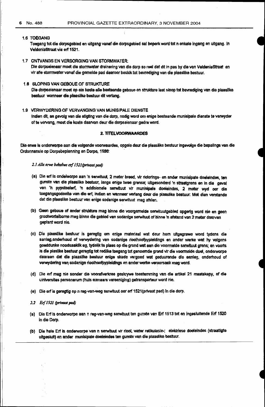#### 1.6 TOEGANG

Toegang tot die dorpsgebiecl en uitgang vanaf die dorpsgebied sal beperk word tot n enkele ingang en uttgang. In VeldeniaStraat via erf 1521.

# 1.7 ONTVANGS EN VERSORGING VAN STORMWATER:

Ole dorpseienaar moet die stormwater dreinering van die darp so reel dat dit in pas by die van Veldeniastreat en vir aile stormwater vanaf die gemelde pad daaroor beskik tot bevrediging van die plaaslike bestuur.

#### 1.8 SLOPING VAN GEBOUE OF STRUKTURE

Die dorpseienaar moet op eie koste aile bastaande geboue en strukture laat sloop tot bevredlging van die plaasllke bestuur wanneer die plaaslike bestuur dit verlang.

## 1.9 VERWYDERING OF VERVANGING VAN MUNISIPALE DIENSTE

Indien dit, as gevolg van die stigting van die dorp, nodig word om enige bestaande munisipale dienste te verwyder of te vervang, most die koste daarvan deur die dorpseienaar gedra word.

#### **2. TITELVOORWAARDES**

Die erwe is onderworpe aan die volgende voorwaardes, opgele deur die plaaslike bestuur ingevolge die bepalings van die Ordonnansie op Dorpsbeplanning en Oorpe, 1986: ·

# 2.1 Alle erwe behalwe erf 1521 (privaat pad)

- (a) Die erf is ondeiworpe aan 'n serwitUut, 2 meter breed, vir riolerings- en ander munisipale doeleindes, ten gunste van die plaaslike bestuur, langs enige twee grense; ultgesonderd 'n straatgrens en in die geval van 'n pypsteelerf, 'n addisionele serwituut vir munisipale doeleindes, 2 meter wyd oar die toegangsgedeelte van die erf, indien en wanneer verlang deur die plaaslike bestuur: Met dien verstande dat die plaaslike bestuur van enige sodanige serwituut mag afslen.
- (b) Geen geboue of ander strukture mag binne die voorgemelde serwituutgebled opgerig word nie en geen grootwortelbome mag binne die gebied van sodanige serwituut of binne 'n afstand van 2 meter daarvan geptant word nie.
- (e) Ole plaasllke bestuur is geregtig om enlge materiaal wat deur hom uitgegrawe word tydens die aanleg, onderhoud of verwydering van sodanige rioolhoofpypleidings en ander werke wat hy volgens goeddunke noodsaaklik ag, tydelik te plaas op die grond wat aan die voormelde serwituut grens; en voorts is die plaslike bestuur geregtig tot redilke toegang tot genoemde grond vir die voormelde doel, onderworpe daaraan dat die plaasllke bestuur enlge skade vergoed wat geduurende die aanleg, onderhoud of verwydering van sodanige rioolhoofpypleidings en ander werke veruorsaak mag word.
- (d) Die erf mag nie sonder die voorafverkree geskrywe toestemming van die artikel 21 maatskapy, of die uiniversitas personarum (huis eienaars vereeniging) getransporteur word nie.
- (e) Die erf is geregtig op n reg-van-weg serwituut oar erf 1521(privaat pad) In die dorp.
- 2.2 Erf 1521 (privaat pad)
- (a) Die Erf is onderworpe aan n reg-wn-weg serwituut ten gunste van Err 1513 tot en ingesluitende Erf 1520 in die Dorp.
- (b) Die hele Erf is onderworpe van n serwituut vir rtool, water retikUiasie-; elektrisse doeleindes (straatllgte uitgesluit) en ander munisipale doeleindes ten gunste van die plaaslike bestuur.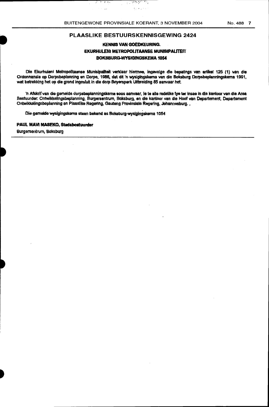يحرجوا

للأمراض وأو

-31

 $\sim$ 

्र

 $\mathcal{F}\left( \mathcal{F}\right)$  .

.<br>..

# PLAASLIKE BESTUURSKENNISGEWING 2424

# KENNIS VAN GOEOKEURING. EKURHULENI METROPOUTAANSE MUNISIPAUTEIT BOKSBURG-WYSIGINGSKEMA 1054

Die Ekurhuleni Metropolltaanse Munisipallteit verklaar hiermee, ingevolge die bepalings van artikel 125 (1) van die Ordonnansie op Dorpsbeplanning en Dorpe, 1986, dat dit 'n wysigingskema van die Boksburg Dorpsbeplanningskema 1991, wat betrekking het op die grand ingesluit in die dorp Beyerspark Uitbreiding 85 aanvaar het.

'n Afskrif van die gemelde dorpsbeplanningskema soos aanvaar, le te alle redelike tye ter insae in die kantoor van die Area Bestuurder. Ontwikkellngsbeplanning, Burgersentrum, Boksburg, en die kantoor van die Hoof van Oepartement, Oepartement Ontwikkelingsbeplanning en Plaaslike Regering, Gauteng Provinsiale Regering, Johannesburg.

Die gemelde wysigingskema staan bekend as Boksburg-wysigingskema 1054

# PAUL MAVI MASEKO, Stadsbestuurder

Burgersentrum, Boksburg